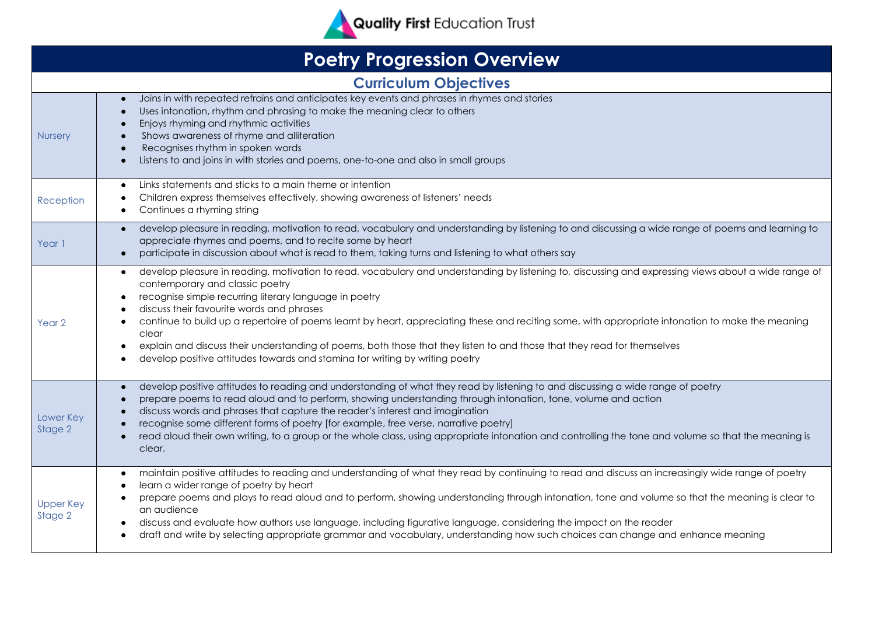

## **Poetry Progression Overview Curriculum Objectives Nursery** Joins in with repeated refrains and anticipates key events and phrases in rhymes and stories Uses intonation, rhythm and phrasing to make the meaning clear to others Enjoys rhyming and rhythmic activities Shows awareness of rhyme and alliteration Recognises rhythm in spoken words Listens to and joins in with stories and poems, one-to-one and also in small groups Reception ● Links statements and sticks to a main theme or intention Children express themselves effectively, showing awareness of listeners' needs ● Continues a rhyming string Year 1 develop pleasure in reading, motivation to read, vocabulary and understanding by listening to and discussing a wide range of poems and learning to appreciate rhymes and poems, and to recite some by heart participate in discussion about what is read to them, taking turns and listening to what others say Year 2 ● develop pleasure in reading, motivation to read, vocabulary and understanding by listening to, discussing and expressing views about a wide range of contemporary and classic poetry recognise simple recurring literary language in poetry discuss their favourite words and phrases continue to build up a repertoire of poems learnt by heart, appreciating these and reciting some, with appropriate intonation to make the meaning clear explain and discuss their understanding of poems, both those that they listen to and those that they read for themselves develop positive attitudes towards and stamina for writing by writing poetry Lower Key Stage 2 ● develop positive attitudes to reading and understanding of what they read by listening to and discussing a wide range of poetry prepare poems to read aloud and to perform, showing understanding through intonation, tone, volume and action ● discuss words and phrases that capture the reader's interest and imagination • recognise some different forms of poetry [for example, free verse, narrative poetry] read aloud their own writing, to a group or the whole class, using appropriate intonation and controlling the tone and volume so that the meaning is clear. Upper Key Stage 2 • maintain positive attitudes to reading and understanding of what they read by continuing to read and discuss an increasingly wide range of poetry ● learn a wider range of poetry by heart ● prepare poems and plays to read aloud and to perform, showing understanding through intonation, tone and volume so that the meaning is clear to an audience discuss and evaluate how authors use language, including figurative language, considering the impact on the reader draft and write by selecting appropriate grammar and vocabulary, understanding how such choices can change and enhance meaning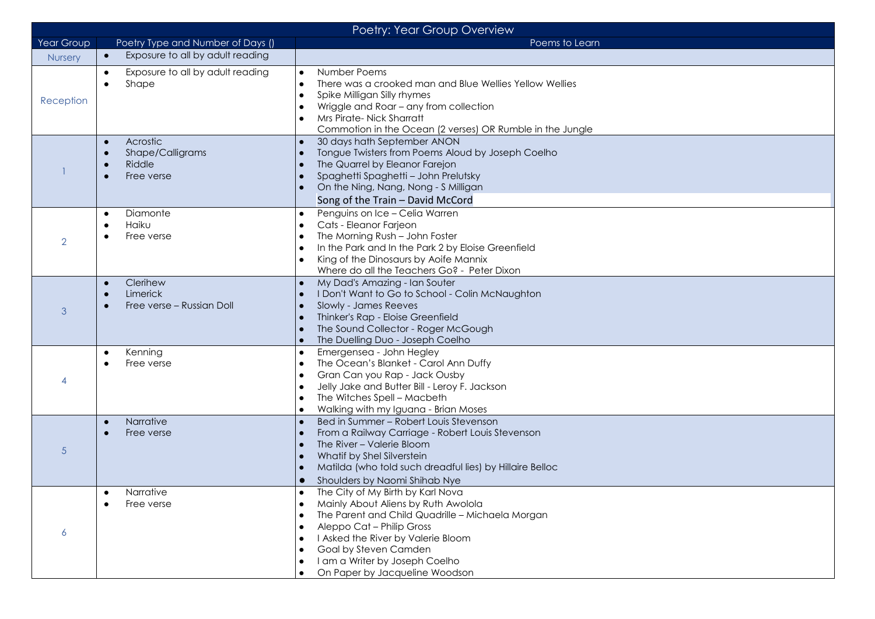| Poetry: Year Group Overview |                                                                     |                                                                                                                                                                                                                                                                                                                                     |  |  |
|-----------------------------|---------------------------------------------------------------------|-------------------------------------------------------------------------------------------------------------------------------------------------------------------------------------------------------------------------------------------------------------------------------------------------------------------------------------|--|--|
| Year Group                  | Poetry Type and Number of Days ()                                   | Poems to Learn                                                                                                                                                                                                                                                                                                                      |  |  |
| Nursery                     | Exposure to all by adult reading<br>$\bullet$                       |                                                                                                                                                                                                                                                                                                                                     |  |  |
| Reception                   | Exposure to all by adult reading<br>$\bullet$<br>Shape<br>$\bullet$ | Number Poems<br>$\bullet$<br>There was a crooked man and Blue Wellies Yellow Wellies<br>$\bullet$<br>Spike Milligan Silly rhymes<br>Wriggle and Roar - any from collection<br>Mrs Pirate-Nick Sharratt<br>$\bullet$<br>Commotion in the Ocean (2 verses) OR Rumble in the Jungle                                                    |  |  |
|                             | Acrostic<br>$\bullet$<br>Shape/Calligrams<br>Riddle<br>Free verse   | 30 days hath September ANON<br>Tongue Twisters from Poems Aloud by Joseph Coelho<br>The Quarrel by Eleanor Farejon<br>Spaghetti Spaghetti - John Prelutsky<br>On the Ning, Nang, Nong - S Milligan<br>$\bullet$<br>Song of the Train - David McCord                                                                                 |  |  |
| $\overline{2}$              | Diamonte<br>$\bullet$<br>Haiku<br>Free verse                        | Penguins on Ice - Celia Warren<br>Cats - Eleanor Farjeon<br>The Morning Rush - John Foster<br>In the Park and In the Park 2 by Eloise Greenfield<br>King of the Dinosaurs by Aoife Mannix<br>Where do all the Teachers Go? - Peter Dixon                                                                                            |  |  |
| 3                           | Clerihew<br>$\bullet$<br>Limerick<br>Free verse - Russian Doll      | My Dad's Amazing - Ian Souter<br>I Don't Want to Go to School - Colin McNaughton<br>Slowly - James Reeves<br>Thinker's Rap - Eloise Greenfield<br>The Sound Collector - Roger McGough<br>The Duelling Duo - Joseph Coelho                                                                                                           |  |  |
| 4                           | Kenning<br>$\bullet$<br>Free verse                                  | Emergensea - John Hegley<br>$\bullet$<br>The Ocean's Blanket - Carol Ann Duffy<br>Gran Can you Rap - Jack Ousby<br>Jelly Jake and Butter Bill - Leroy F. Jackson<br>The Witches Spell - Macbeth<br>Walking with my Iguana - Brian Moses<br>$\bullet$                                                                                |  |  |
| $\sqrt{5}$                  | Narrative<br>$\bullet$<br>Free verse                                | Bed in Summer - Robert Louis Stevenson<br>From a Railway Carriage - Robert Louis Stevenson<br>The River - Valerie Bloom<br>Whatif by Shel Silverstein<br>Matilda (who told such dreadful lies) by Hillaire Belloc<br>Shoulders by Naomi Shihab Nye<br>$\bullet$                                                                     |  |  |
| 6                           | Narrative<br>Free verse                                             | The City of My Birth by Karl Nova<br>$\bullet$<br>Mainly About Aliens by Ruth Awolola<br>The Parent and Child Quadrille - Michaela Morgan<br>$\bullet$<br>Aleppo Cat - Philip Gross<br>I Asked the River by Valerie Bloom<br>Goal by Steven Camden<br>I am a Writer by Joseph Coelho<br>$\bullet$<br>On Paper by Jacqueline Woodson |  |  |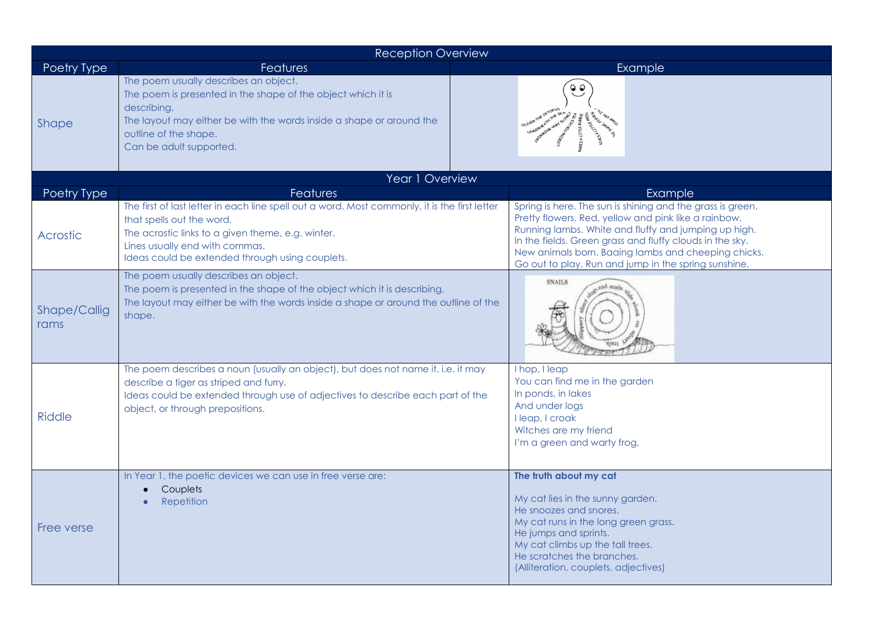| <b>Reception Overview</b> |                                                                                                                                                                                                                                                                      |  |                                                                                                                                                                                                                                                                                                                                                       |  |  |
|---------------------------|----------------------------------------------------------------------------------------------------------------------------------------------------------------------------------------------------------------------------------------------------------------------|--|-------------------------------------------------------------------------------------------------------------------------------------------------------------------------------------------------------------------------------------------------------------------------------------------------------------------------------------------------------|--|--|
| Poetry Type               | <b>Features</b>                                                                                                                                                                                                                                                      |  | Example                                                                                                                                                                                                                                                                                                                                               |  |  |
| <b>Shape</b>              | The poem usually describes an object.<br>The poem is presented in the shape of the object which it is<br>describing.<br>The layout may either be with the words inside a shape or around the<br>outline of the shape.<br>Can be adult supported.                     |  |                                                                                                                                                                                                                                                                                                                                                       |  |  |
|                           | Year 1 Overview                                                                                                                                                                                                                                                      |  |                                                                                                                                                                                                                                                                                                                                                       |  |  |
| Poetry Type               | <b>Features</b>                                                                                                                                                                                                                                                      |  | Example                                                                                                                                                                                                                                                                                                                                               |  |  |
| <b>Acrostic</b>           | The first of last letter in each line spell out a word. Most commonly, it is the first letter<br>that spells out the word.<br>The acrostic links to a given theme, e.g. winter.<br>Lines usually end with commas.<br>Ideas could be extended through using couplets. |  | Spring is here. The sun is shining and the grass is green.<br>Pretty flowers. Red, yellow and pink like a rainbow.<br>Running lambs. White and fluffy and jumping up high.<br>In the fields. Green grass and fluffy clouds in the sky.<br>New animals born. Baaing lambs and cheeping chicks.<br>Go out to play. Run and jump in the spring sunshine. |  |  |
| Shape/Callig<br>rams      | The poem usually describes an object.<br>The poem is presented in the shape of the object which it is describing.<br>The layout may either be with the words inside a shape or around the outline of the<br>shape.                                                   |  | <b>SNAILS</b>                                                                                                                                                                                                                                                                                                                                         |  |  |
| <b>Riddle</b>             | The poem describes a noun (usually an object), but does not name it, i.e. it may<br>describe a tiger as striped and furry.<br>Ideas could be extended through use of adjectives to describe each part of the<br>object, or through prepositions.                     |  | I hop, I leap<br>You can find me in the garden<br>In ponds, in lakes<br>And under logs<br>I leap, I croak<br>Witches are my friend<br>I'm a green and warty frog,                                                                                                                                                                                     |  |  |
| Free verse                | In Year 1, the poetic devices we can use in free verse are:<br>Couplets<br>Repetition                                                                                                                                                                                |  | The truth about my cat<br>My cat lies in the sunny garden.<br>He snoozes and snores.<br>My cat runs in the long green grass.<br>He jumps and sprints.<br>My cat climbs up the tall trees.<br>He scratches the branches.<br>(Alliteration, couplets, adjectives)                                                                                       |  |  |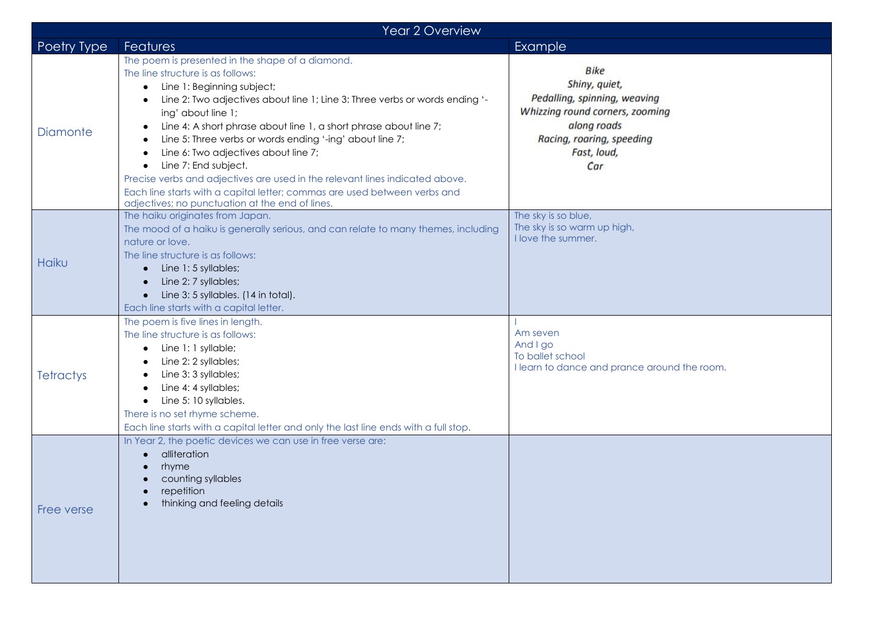| Year 2 Overview  |                                                                                                                                                                                                                                                                                                                                                                                                                                                                                                                                                                                                                                                             |                                                                                                                                                                   |  |  |
|------------------|-------------------------------------------------------------------------------------------------------------------------------------------------------------------------------------------------------------------------------------------------------------------------------------------------------------------------------------------------------------------------------------------------------------------------------------------------------------------------------------------------------------------------------------------------------------------------------------------------------------------------------------------------------------|-------------------------------------------------------------------------------------------------------------------------------------------------------------------|--|--|
| Poetry Type      | <b>Features</b>                                                                                                                                                                                                                                                                                                                                                                                                                                                                                                                                                                                                                                             | Example                                                                                                                                                           |  |  |
| <b>Diamonte</b>  | The poem is presented in the shape of a diamond.<br>The line structure is as follows:<br>Line 1: Beginning subject;<br>$\bullet$<br>Line 2: Two adjectives about line 1; Line 3: Three verbs or words ending '-<br>ing' about line 1;<br>Line 4: A short phrase about line 1, a short phrase about line 7;<br>٠<br>Line 5: Three verbs or words ending '-ing' about line 7;<br>Line 6: Two adjectives about line 7;<br>Line 7: End subject.<br>Precise verbs and adjectives are used in the relevant lines indicated above.<br>Each line starts with a capital letter; commas are used between verbs and<br>adjectives; no punctuation at the end of lines. | <b>Bike</b><br>Shiny, quiet,<br>Pedalling, spinning, weaving<br>Whizzing round corners, zooming<br>along roads<br>Racing, roaring, speeding<br>Fast, loud,<br>Car |  |  |
| Haiku            | The haiku originates from Japan.<br>The mood of a haiku is generally serious, and can relate to many themes, including<br>nature or love.<br>The line structure is as follows:<br>$\bullet$ Line 1:5 syllables;<br>Line 2: 7 syllables;<br>$\bullet$<br>Line 3: 5 syllables. (14 in total).<br>$\bullet$<br>Each line starts with a capital letter.                                                                                                                                                                                                                                                                                                         | The sky is so blue,<br>The sky is so warm up high,<br>I love the summer.                                                                                          |  |  |
| <b>Tetractys</b> | The poem is five lines in length.<br>The line structure is as follows:<br>• Line 1: 1 syllable;<br>Line 2: 2 syllables;<br>Line 3: 3 syllables;<br>Line 4: 4 syllables;<br>Line 5: 10 syllables.<br>$\bullet$<br>There is no set rhyme scheme.<br>Each line starts with a capital letter and only the last line ends with a full stop.                                                                                                                                                                                                                                                                                                                      | Am seven<br>And I go<br>To ballet school<br>I learn to dance and prance around the room.                                                                          |  |  |
| Free verse       | In Year 2, the poetic devices we can use in free verse are:<br>alliteration<br>rhyme<br>counting syllables<br>repetition<br>thinking and feeling details                                                                                                                                                                                                                                                                                                                                                                                                                                                                                                    |                                                                                                                                                                   |  |  |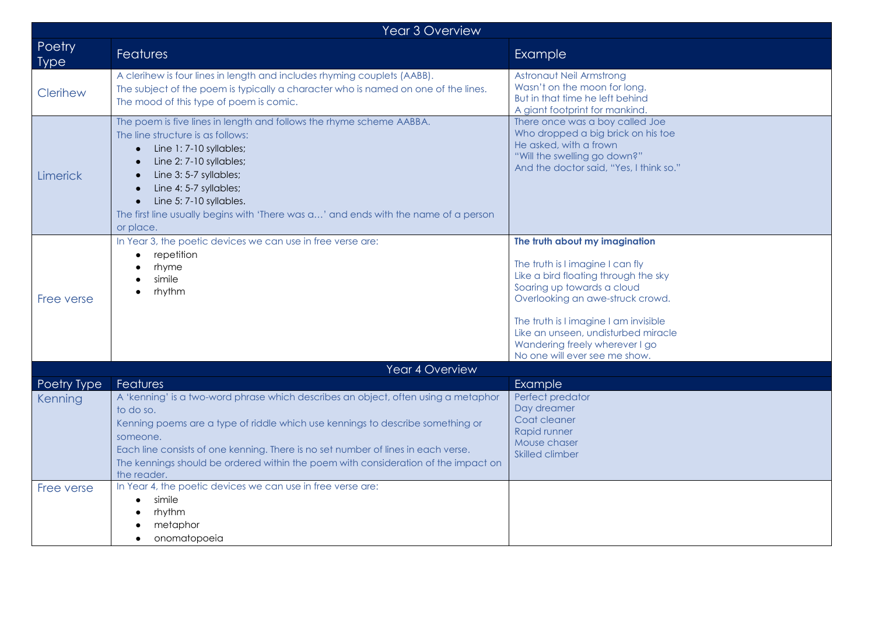| <b>Year 3 Overview</b> |                                                                                                                                                                                                                                                                                                                                                                                                     |                                                                                                                                                                                                                                                                                                                                 |  |  |
|------------------------|-----------------------------------------------------------------------------------------------------------------------------------------------------------------------------------------------------------------------------------------------------------------------------------------------------------------------------------------------------------------------------------------------------|---------------------------------------------------------------------------------------------------------------------------------------------------------------------------------------------------------------------------------------------------------------------------------------------------------------------------------|--|--|
| Poetry<br><b>Type</b>  | <b>Features</b>                                                                                                                                                                                                                                                                                                                                                                                     | Example                                                                                                                                                                                                                                                                                                                         |  |  |
| Clerihew               | A clerihew is four lines in length and includes rhyming couplets (AABB).<br>The subject of the poem is typically a character who is named on one of the lines.<br>The mood of this type of poem is comic.                                                                                                                                                                                           | Astronaut Neil Armstrong<br>Wasn't on the moon for long.<br>But in that time he left behind<br>A giant footprint for mankind.                                                                                                                                                                                                   |  |  |
| <b>Limerick</b>        | The poem is five lines in length and follows the rhyme scheme AABBA.<br>The line structure is as follows:<br>Line 1:7-10 syllables;<br>Line 2: 7-10 syllables;<br>Line 3: 5-7 syllables;<br>Line 4: 5-7 syllables;<br>Line 5: 7-10 syllables.<br>The first line usually begins with 'There was a' and ends with the name of a person<br>or place.                                                   | There once was a boy called Joe<br>Who dropped a big brick on his toe<br>He asked, with a frown<br>"Will the swelling go down?"<br>And the doctor said, "Yes, I think so."                                                                                                                                                      |  |  |
| Free verse             | In Year 3, the poetic devices we can use in free verse are:<br>repetition<br>rhyme<br>simile<br>rhythm                                                                                                                                                                                                                                                                                              | The truth about my imagination<br>The truth is I imagine I can fly<br>Like a bird floating through the sky<br>Soaring up towards a cloud<br>Overlooking an awe-struck crowd.<br>The truth is I imagine I am invisible<br>Like an unseen, undisturbed miracle<br>Wandering freely wherever I go<br>No one will ever see me show. |  |  |
|                        | Year 4 Overview                                                                                                                                                                                                                                                                                                                                                                                     |                                                                                                                                                                                                                                                                                                                                 |  |  |
| Poetry Type<br>Kenning | Features<br>A 'kenning' is a two-word phrase which describes an object, often using a metaphor<br>to do so.<br>Kenning poems are a type of riddle which use kennings to describe something or<br>someone.<br>Each line consists of one kenning. There is no set number of lines in each verse.<br>The kennings should be ordered within the poem with consideration of the impact on<br>the reader. | <b>Example</b><br>Perfect predator<br>Day dreamer<br>Coat cleaner<br>Rapid runner<br>Mouse chaser<br>Skilled climber                                                                                                                                                                                                            |  |  |
| Free verse             | In Year 4, the poetic devices we can use in free verse are:<br>simile<br>$\bullet$<br>rhythm<br>metaphor<br>onomatopoeia                                                                                                                                                                                                                                                                            |                                                                                                                                                                                                                                                                                                                                 |  |  |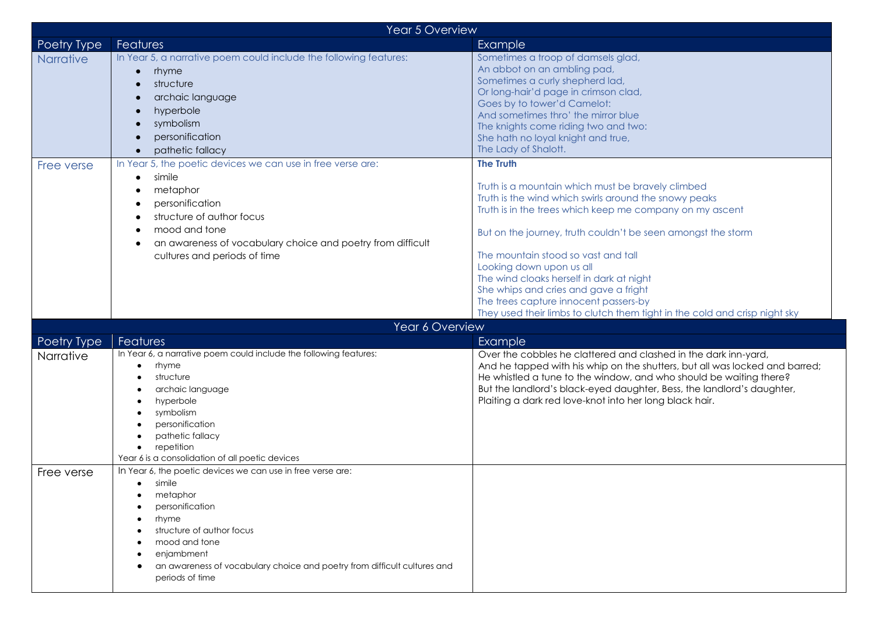| Year 5 Overview  |                                                                                                                                                                                                                                                                                    |                                                                                                                                                                                                                                                                                                                                                                                                                                                                                                                                           |  |  |
|------------------|------------------------------------------------------------------------------------------------------------------------------------------------------------------------------------------------------------------------------------------------------------------------------------|-------------------------------------------------------------------------------------------------------------------------------------------------------------------------------------------------------------------------------------------------------------------------------------------------------------------------------------------------------------------------------------------------------------------------------------------------------------------------------------------------------------------------------------------|--|--|
| Poetry Type      | Features                                                                                                                                                                                                                                                                           | Example                                                                                                                                                                                                                                                                                                                                                                                                                                                                                                                                   |  |  |
| <b>Narrative</b> | In Year 5, a narrative poem could include the following features:<br>rhyme<br>$\bullet$<br>structure<br>archaic language<br>hyperbole<br>symbolism<br>personification<br>pathetic fallacy                                                                                          | Sometimes a troop of damsels glad,<br>An abbot on an ambling pad,<br>Sometimes a curly shepherd lad,<br>Or long-hair'd page in crimson clad,<br>Goes by to tower'd Camelot:<br>And sometimes thro' the mirror blue<br>The knights come riding two and two:<br>She hath no loyal knight and true,<br>The Lady of Shalott.                                                                                                                                                                                                                  |  |  |
| Free verse       | In Year 5, the poetic devices we can use in free verse are:<br>simile<br>$\bullet$<br>metaphor<br>personification<br>structure of author focus<br>mood and tone<br>an awareness of vocabulary choice and poetry from difficult<br>cultures and periods of time                     | <b>The Truth</b><br>Truth is a mountain which must be bravely climbed<br>Truth is the wind which swirls around the snowy peaks<br>Truth is in the trees which keep me company on my ascent<br>But on the journey, truth couldn't be seen amongst the storm<br>The mountain stood so vast and tall<br>Looking down upon us all<br>The wind cloaks herself in dark at night<br>She whips and cries and gave a fright<br>The trees capture innocent passers-by<br>They used their limbs to clutch them tight in the cold and crisp night sky |  |  |
|                  | Year 6 Overview                                                                                                                                                                                                                                                                    |                                                                                                                                                                                                                                                                                                                                                                                                                                                                                                                                           |  |  |
| Poetry Type      | <b>Features</b>                                                                                                                                                                                                                                                                    | Example                                                                                                                                                                                                                                                                                                                                                                                                                                                                                                                                   |  |  |
| Narrative        | In Year 6, a narrative poem could include the following features:<br>rhyme<br>$\bullet$<br>structure<br>archaic language<br>hyperbole<br>symbolism<br>personification<br>pathetic fallacy<br>repetition<br>Year 6 is a consolidation of all poetic devices                         | Over the cobbles he clattered and clashed in the dark inn-yard,<br>And he tapped with his whip on the shutters, but all was locked and barred;<br>He whistled a tune to the window, and who should be waiting there?<br>But the landlord's black-eyed daughter, Bess, the landlord's daughter,<br>Plaiting a dark red love-knot into her long black hair.                                                                                                                                                                                 |  |  |
| Free verse       | In Year 6, the poetic devices we can use in free verse are:<br>$\bullet$ simile<br>metaphor<br>personification<br>rhyme<br>structure of author focus<br>mood and tone<br>enjambment<br>an awareness of vocabulary choice and poetry from difficult cultures and<br>periods of time |                                                                                                                                                                                                                                                                                                                                                                                                                                                                                                                                           |  |  |